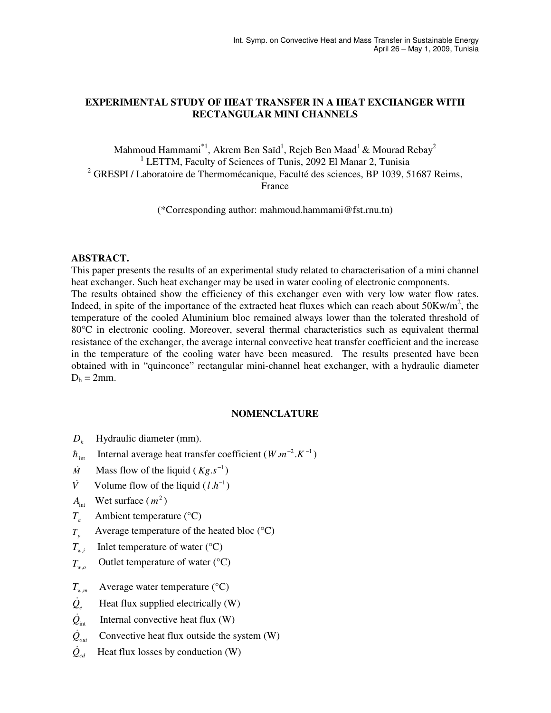# **EXPERIMENTAL STUDY OF HEAT TRANSFER IN A HEAT EXCHANGER WITH RECTANGULAR MINI CHANNELS**

Mahmoud Hammami $^{\ast}{}^{1},$  Akrem Ben Saïd $^1,$  Rejeb Ben Maad $^1$  & Mourad Rebay $^2$ <sup>1</sup> LETTM, Faculty of Sciences of Tunis, 2092 El Manar 2, Tunisia <sup>2</sup> GRESPI / Laboratoire de Thermomécanique, Faculté des sciences, BP 1039, 51687 Reims, France

(\*Corresponding author: mahmoud.hammami@fst.rnu.tn)

## **ABSTRACT.**

This paper presents the results of an experimental study related to characterisation of a mini channel heat exchanger. Such heat exchanger may be used in water cooling of electronic components. The results obtained show the efficiency of this exchanger even with very low water flow rates. Indeed, in spite of the importance of the extracted heat fluxes which can reach about  $50Kw/m^2$ , the temperature of the cooled Aluminium bloc remained always lower than the tolerated threshold of 80°C in electronic cooling. Moreover, several thermal characteristics such as equivalent thermal resistance of the exchanger, the average internal convective heat transfer coefficient and the increase in the temperature of the cooling water have been measured. The results presented have been obtained with in "quinconce" rectangular mini-channel heat exchanger, with a hydraulic diameter  $D<sub>h</sub> = 2mm$ .

## **NOMENCLATURE**

- $D<sub>h</sub>$ Hydraulic diameter (mm).
- $\hbar$ <sub>int</sub> Internal average heat transfer coefficient ( $W.m^{-2}.K^{-1}$ )
- $\dot{M}$ Mass flow of the liquid ( $Kg.s^{-1}$ )
- $\dot{V}$ Volume flow of the liquid  $(l.h^{-1})$
- $A<sub>int</sub>$  Wet surface  $(m<sup>2</sup>)$
- $T_a$ Ambient temperature (°C)
- *Tp* Average temperature of the heated bloc (°C)
- $T_{w,i}$ Inlet temperature of water  $(^{\circ}C)$
- Outlet temperature of water  $(^{\circ}C)$ *Tw*,*o*
- *T<sup>w</sup>*,*<sup>m</sup>* Average water temperature (°C)
- $\dot{Q}_e$ Heat flux supplied electrically (W)
- $\dot{\mathcal{Q}}_{\rm int}$ Internal convective heat flux (W)
- $\dot{\mathcal{Q}}_{\scriptscriptstyle\rm out}$ Convective heat flux outside the system (W)
- $\dot{\mathcal{Q}}_{cd}$ Heat flux losses by conduction (W)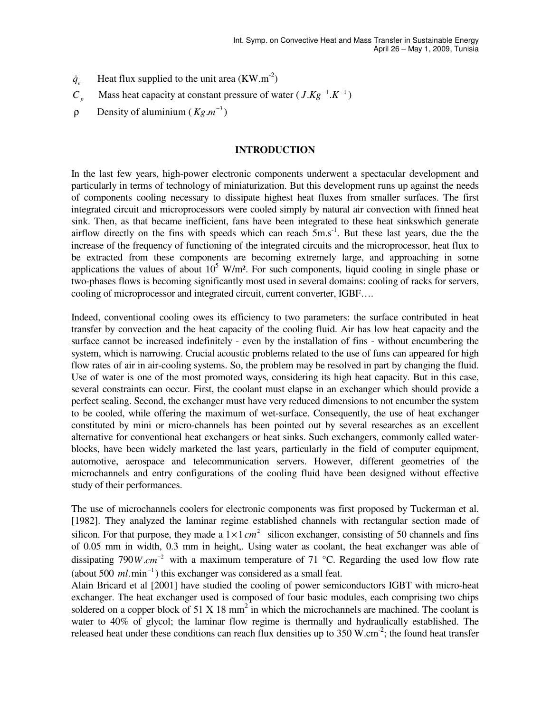- $\dot{q}_{e}$ Heat flux supplied to the unit area  $(KW.m^{-2})$
- $C_p$ Mass heat capacity at constant pressure of water  $(J.Kg^{-1}.K^{-1})$
- $ρ$  Density of aluminium ( $Kg.m^{-3}$ )

## **INTRODUCTION**

In the last few years, high-power electronic components underwent a spectacular development and particularly in terms of technology of miniaturization. But this development runs up against the needs of components cooling necessary to dissipate highest heat fluxes from smaller surfaces. The first integrated circuit and microprocessors were cooled simply by natural air convection with finned heat sink. Then, as that became inefficient, fans have been integrated to these heat sinkswhich generate airflow directly on the fins with speeds which can reach  $\bar{5}$ m.s<sup>-1</sup>. But these last years, due the the increase of the frequency of functioning of the integrated circuits and the microprocessor, heat flux to be extracted from these components are becoming extremely large, and approaching in some applications the values of about  $10^5$  W/m<sup>2</sup>. For such components, liquid cooling in single phase or two-phases flows is becoming significantly most used in several domains: cooling of racks for servers, cooling of microprocessor and integrated circuit, current converter, IGBF….

Indeed, conventional cooling owes its efficiency to two parameters: the surface contributed in heat transfer by convection and the heat capacity of the cooling fluid. Air has low heat capacity and the surface cannot be increased indefinitely - even by the installation of fins - without encumbering the system, which is narrowing. Crucial acoustic problems related to the use of funs can appeared for high flow rates of air in air-cooling systems. So, the problem may be resolved in part by changing the fluid. Use of water is one of the most promoted ways, considering its high heat capacity. But in this case, several constraints can occur. First, the coolant must elapse in an exchanger which should provide a perfect sealing. Second, the exchanger must have very reduced dimensions to not encumber the system to be cooled, while offering the maximum of wet-surface. Consequently, the use of heat exchanger constituted by mini or micro-channels has been pointed out by several researches as an excellent alternative for conventional heat exchangers or heat sinks. Such exchangers, commonly called waterblocks, have been widely marketed the last years, particularly in the field of computer equipment, automotive, aerospace and telecommunication servers. However, different geometries of the microchannels and entry configurations of the cooling fluid have been designed without effective study of their performances.

The use of microchannels coolers for electronic components was first proposed by Tuckerman et al. [1982]. They analyzed the laminar regime established channels with rectangular section made of silicon. For that purpose, they made a  $1 \times 1$  *cm*<sup>2</sup> silicon exchanger, consisting of 50 channels and fins of 0.05 mm in width, 0.3 mm in height,. Using water as coolant, the heat exchanger was able of dissipating 790W.cm<sup>-2</sup> with a maximum temperature of 71 °C. Regarding the used low flow rate (about 500 *ml*.min<sup>-1</sup>) this exchanger was considered as a small feat.

Alain Bricard et al [2001] have studied the cooling of power semiconductors IGBT with micro-heat exchanger. The heat exchanger used is composed of four basic modules, each comprising two chips soldered on a copper block of 51 X 18 mm<sup>2</sup> in which the microchannels are machined. The coolant is water to 40% of glycol; the laminar flow regime is thermally and hydraulically established. The released heat under these conditions can reach flux densities up to  $350$  W.cm<sup>-2</sup>; the found heat transfer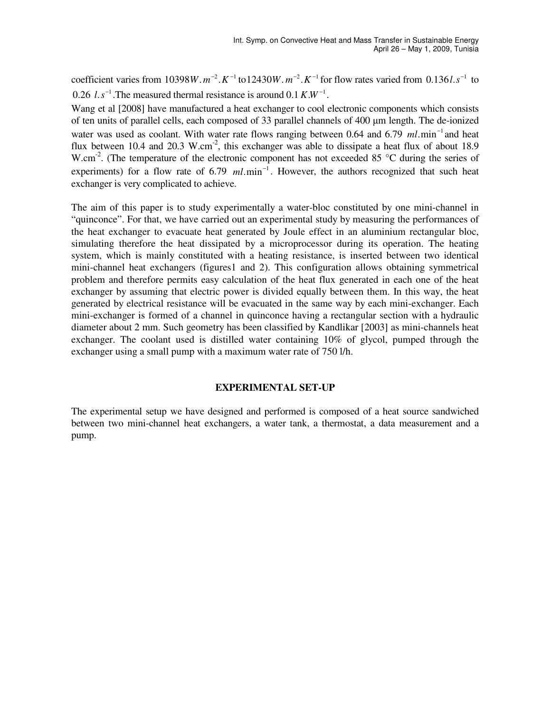coefficient varies from 10398W.  $m^{-2}$ .  $K^{-1}$  to 12430W.  $m^{-2}$ .  $K^{-1}$  for flow rates varied from 0.136l.  $s^{-1}$  to 0.26  $l.s^{-1}$ . The measured thermal resistance is around 0.1  $K.W^{-1}$ .

Wang et al [2008] have manufactured a heat exchanger to cool electronic components which consists of ten units of parallel cells, each composed of 33 parallel channels of 400 µm length. The de-ionized water was used as coolant. With water rate flows ranging between 0.64 and 6.79  $ml$ .min<sup>-1</sup> and heat flux between 10.4 and 20.3 W.cm<sup>-2</sup>, this exchanger was able to dissipate a heat flux of about 18.9 W.cm<sup>-2</sup>. (The temperature of the electronic component has not exceeded 85  $\degree$ C during the series of experiments) for a flow rate of 6.79  $ml.min^{-1}$ . However, the authors recognized that such heat exchanger is very complicated to achieve.

The aim of this paper is to study experimentally a water-bloc constituted by one mini-channel in "quinconce". For that, we have carried out an experimental study by measuring the performances of the heat exchanger to evacuate heat generated by Joule effect in an aluminium rectangular bloc, simulating therefore the heat dissipated by a microprocessor during its operation. The heating system, which is mainly constituted with a heating resistance, is inserted between two identical mini-channel heat exchangers (figures1 and 2). This configuration allows obtaining symmetrical problem and therefore permits easy calculation of the heat flux generated in each one of the heat exchanger by assuming that electric power is divided equally between them. In this way, the heat generated by electrical resistance will be evacuated in the same way by each mini-exchanger. Each mini-exchanger is formed of a channel in quinconce having a rectangular section with a hydraulic diameter about 2 mm. Such geometry has been classified by Kandlikar [2003] as mini-channels heat exchanger. The coolant used is distilled water containing 10% of glycol, pumped through the exchanger using a small pump with a maximum water rate of 750 l/h.

## **EXPERIMENTAL SET-UP**

The experimental setup we have designed and performed is composed of a heat source sandwiched between two mini-channel heat exchangers, a water tank, a thermostat, a data measurement and a pump.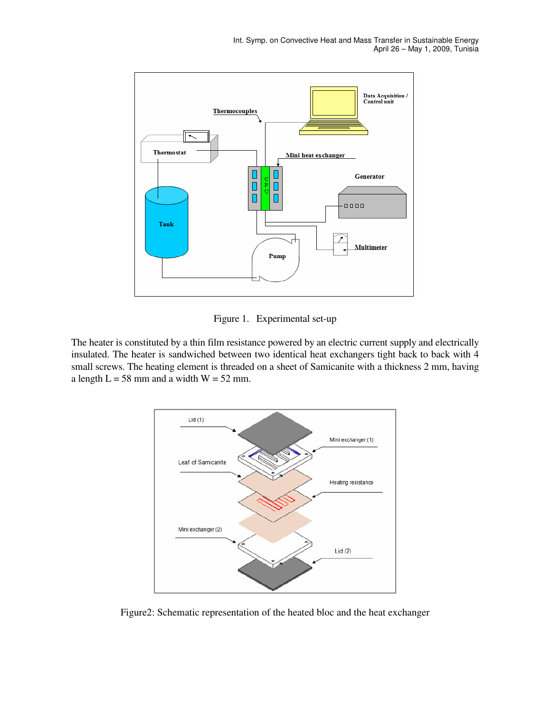

Figure 1. Experimental set-up

The heater is constituted by a thin film resistance powered by an electric current supply and electrically insulated. The heater is sandwiched between two identical heat exchangers tight back to back with 4 small screws. The heating element is threaded on a sheet of Samicanite with a thickness 2 mm, having a length  $L = 58$  mm and a width  $W = 52$  mm.



Figure2: Schematic representation of the heated bloc and the heat exchanger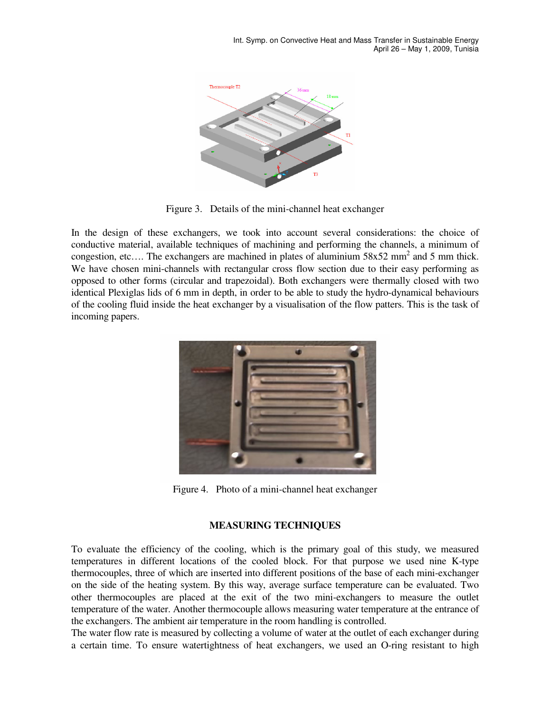

Figure 3. Details of the mini-channel heat exchanger

In the design of these exchangers, we took into account several considerations: the choice of conductive material, available techniques of machining and performing the channels, a minimum of congestion, etc.... The exchangers are machined in plates of aluminium  $58x52$  mm<sup>2</sup> and 5 mm thick. We have chosen mini-channels with rectangular cross flow section due to their easy performing as opposed to other forms (circular and trapezoidal). Both exchangers were thermally closed with two identical Plexiglas lids of 6 mm in depth, in order to be able to study the hydro-dynamical behaviours of the cooling fluid inside the heat exchanger by a visualisation of the flow patters. This is the task of incoming papers.



Figure 4. Photo of a mini-channel heat exchanger

## **MEASURING TECHNIQUES**

To evaluate the efficiency of the cooling, which is the primary goal of this study, we measured temperatures in different locations of the cooled block. For that purpose we used nine K-type thermocouples, three of which are inserted into different positions of the base of each mini-exchanger on the side of the heating system. By this way, average surface temperature can be evaluated. Two other thermocouples are placed at the exit of the two mini-exchangers to measure the outlet temperature of the water. Another thermocouple allows measuring water temperature at the entrance of the exchangers. The ambient air temperature in the room handling is controlled.

The water flow rate is measured by collecting a volume of water at the outlet of each exchanger during a certain time. To ensure watertightness of heat exchangers, we used an O-ring resistant to high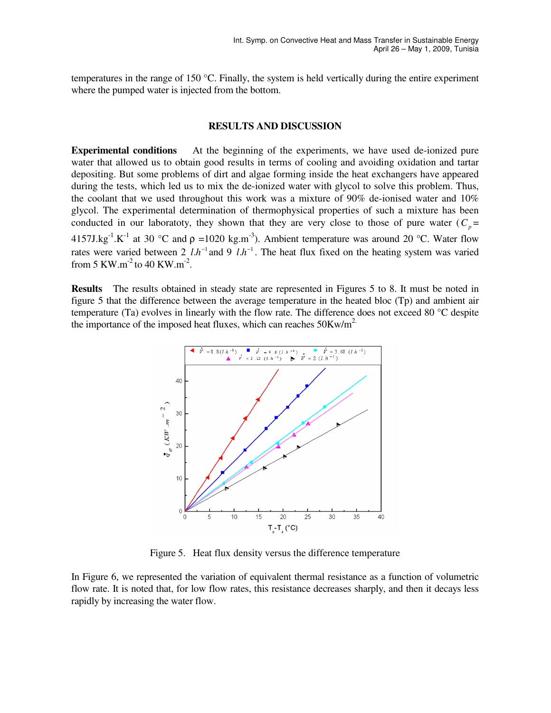temperatures in the range of 150  $\degree$ C. Finally, the system is held vertically during the entire experiment where the pumped water is injected from the bottom.

## **RESULTS AND DISCUSSION**

**Experimental conditions** At the beginning of the experiments, we have used de-ionized pure water that allowed us to obtain good results in terms of cooling and avoiding oxidation and tartar depositing. But some problems of dirt and algae forming inside the heat exchangers have appeared during the tests, which led us to mix the de-ionized water with glycol to solve this problem. Thus, the coolant that we used throughout this work was a mixture of 90% de-ionised water and 10% glycol. The experimental determination of thermophysical properties of such a mixture has been conducted in our laboratoty, they shown that they are very close to those of pure water  $(C_p =$ 4157J.kg<sup>-1</sup>.K<sup>-1</sup> at 30 °C and  $\rho$  =1020 kg.m<sup>-3</sup>). Ambient temperature was around 20 °C. Water flow rates were varied between 2  $l.h^{-1}$  and 9  $l.h^{-1}$ . The heat flux fixed on the heating system was varied from 5 KW.m<sup>-2</sup> to 40 KW.m<sup>-2</sup>.

**Results** The results obtained in steady state are represented in Figures 5 to 8. It must be noted in figure 5 that the difference between the average temperature in the heated bloc (Tp) and ambient air temperature (Ta) evolves in linearly with the flow rate. The difference does not exceed 80  $\degree$ C despite the importance of the imposed heat fluxes, which can reaches  $50Kw/m<sup>2</sup>$ .



Figure 5. Heat flux density versus the difference temperature

In Figure 6, we represented the variation of equivalent thermal resistance as a function of volumetric flow rate. It is noted that, for low flow rates, this resistance decreases sharply, and then it decays less rapidly by increasing the water flow.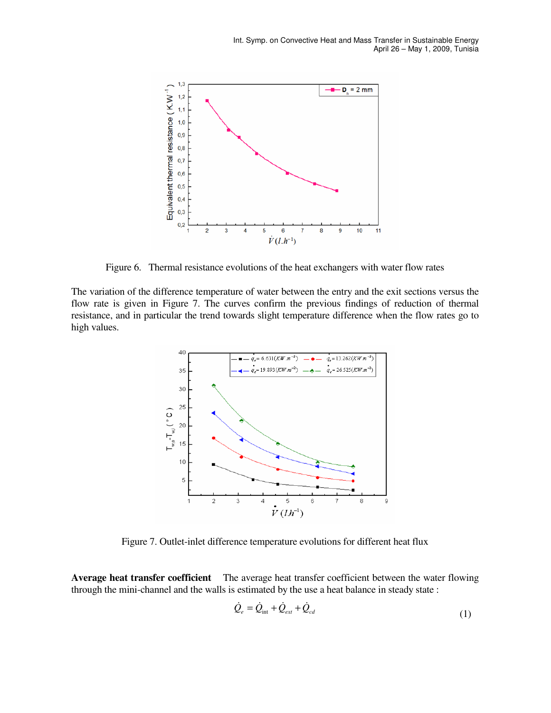

Figure 6. Thermal resistance evolutions of the heat exchangers with water flow rates

The variation of the difference temperature of water between the entry and the exit sections versus the flow rate is given in Figure 7. The curves confirm the previous findings of reduction of thermal resistance, and in particular the trend towards slight temperature difference when the flow rates go to high values.



Figure 7. Outlet-inlet difference temperature evolutions for different heat flux

**Average heat transfer coefficient** The average heat transfer coefficient between the water flowing through the mini-channel and the walls is estimated by the use a heat balance in steady state :

$$
\dot{Q}_e = \dot{Q}_{int} + \dot{Q}_{ext} + \dot{Q}_{cd}
$$
\n(1)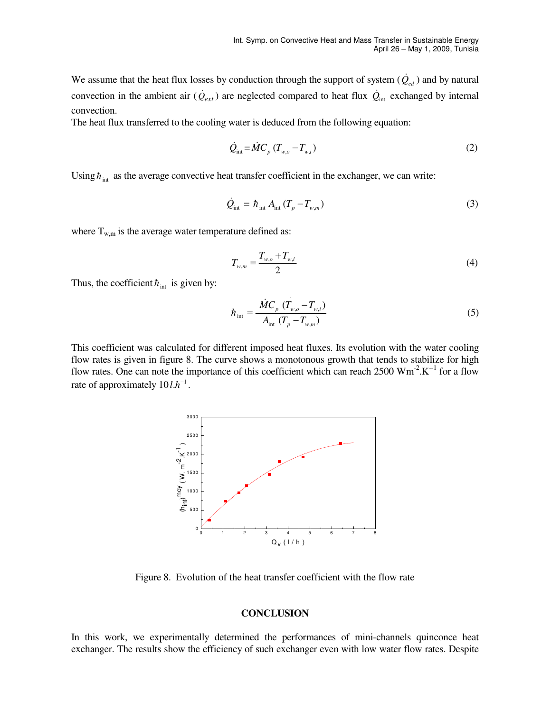We assume that the heat flux losses by conduction through the support of system  $(\dot{Q}_{cd})$  and by natural convection in the ambient air  $(\dot{Q}_{ext})$  are neglected compared to heat flux  $\dot{Q}_{int}$  exchanged by internal convection.

The heat flux transferred to the cooling water is deduced from the following equation:

$$
\dot{Q}_{\text{int}} = \dot{M} C_p \left( T_{w,o} - T_{w,i} \right) \tag{2}
$$

Using  $\hbar$ <sub>int</sub> as the average convective heat transfer coefficient in the exchanger, we can write:

$$
\dot{Q}_{\text{int}} = \hbar_{\text{int}} A_{\text{int}} (T_p - T_{w,m})
$$
\n(3)

where  $T_{w,m}$  is the average water temperature defined as:

$$
T_{w,m} = \frac{T_{w,o} + T_{w,i}}{2}
$$
 (4)

Thus, the coefficient  $h_{int}$  is given by:

$$
\hbar_{\rm int} = \frac{\dot{M}C_p (T_{w,o} - T_{w,i})}{A_{\rm int} (T_p - T_{w,m})}
$$
\n(5)

This coefficient was calculated for different imposed heat fluxes. Its evolution with the water cooling flow rates is given in figure 8. The curve shows a monotonous growth that tends to stabilize for high flow rates. One can note the importance of this coefficient which can reach  $2500 \text{ Wm}^2$ .  $\text{K}^{-1}$  for a flow rate of approximately  $10 l.h^{-1}$ .

.



Figure 8. Evolution of the heat transfer coefficient with the flow rate

#### **CONCLUSION**

In this work, we experimentally determined the performances of mini-channels quinconce heat exchanger. The results show the efficiency of such exchanger even with low water flow rates. Despite